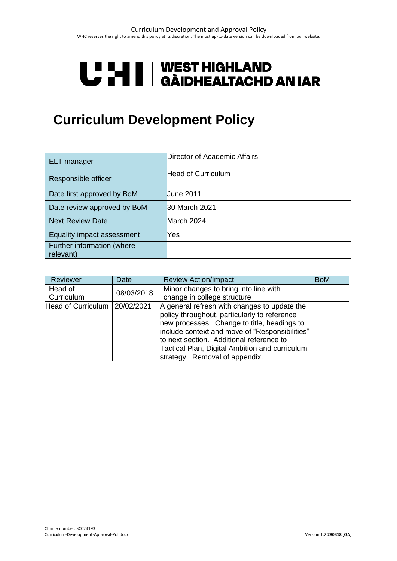# U HI | WEST HIGHLAND<br>U HI | GÀIDHEALTACHD AN IAR

## **Curriculum Development Policy**

| ELT manager                             | Director of Academic Affairs |
|-----------------------------------------|------------------------------|
| Responsible officer                     | <b>Head of Curriculum</b>    |
| Date first approved by BoM              | Uune 2011                    |
| Date review approved by BoM             | 30 March 2021                |
| <b>Next Review Date</b>                 | March 2024                   |
| Equality impact assessment              | Yes                          |
| Further information (where<br>relevant) |                              |

| Reviewer           | Date       | <b>Review Action/Impact</b>                    | <b>BoM</b> |
|--------------------|------------|------------------------------------------------|------------|
| Head of            | 08/03/2018 | Minor changes to bring into line with          |            |
| Curriculum         |            | change in college structure                    |            |
| Head of Curriculum | 20/02/2021 | A general refresh with changes to update the   |            |
|                    |            | policy throughout, particularly to reference   |            |
|                    |            | new processes. Change to title, headings to    |            |
|                    |            | include context and move of "Responsibilities" |            |
|                    |            | to next section. Additional reference to       |            |
|                    |            | Tactical Plan, Digital Ambition and curriculum |            |
|                    |            | strategy. Removal of appendix.                 |            |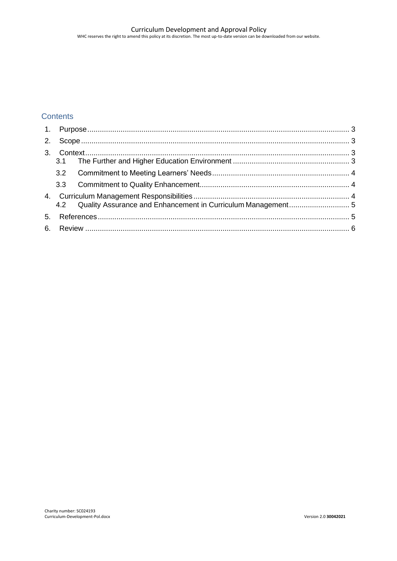#### **Contents**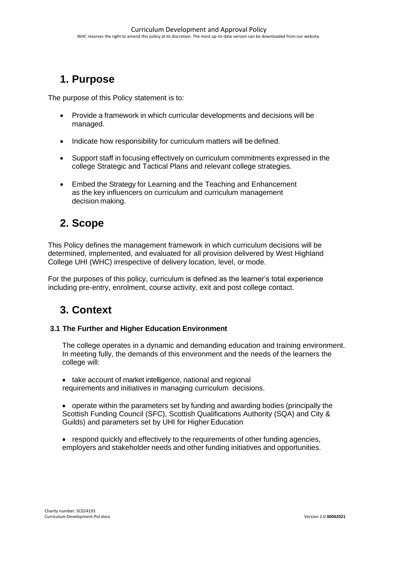## <span id="page-2-0"></span>**1. Purpose**

The purpose of this Policy statement is to:

- Provide a framework in which curricular developments and decisions will be managed.
- Indicate how responsibility for curriculum matters will be defined.
- Support staff in focusing effectively on curriculum commitments expressed in the college Strategic and Tactical Plans and relevant college strategies.
- Embed the Strategy for Learning and the Teaching and Enhancement as the key influencers on curriculum and curriculum management decision making.

## <span id="page-2-1"></span>**2. Scope**

This Policy defines the management framework in which curriculum decisions will be determined, implemented, and evaluated for all provision delivered by West Highland College UHI (WHC) irrespective of delivery location, level, or mode.

For the purposes of this policy, curriculum is defined as the learner's total experience including pre-entry, enrolment, course activity, exit and post college contact.

## <span id="page-2-2"></span>**3. Context**

#### <span id="page-2-3"></span>**3.1 The Further and Higher Education Environment**

The college operates in a dynamic and demanding education and training environment. In meeting fully, the demands of this environment and the needs of the learners the college will:

- take account of market intelligence, national and regional requirements and initiatives in managing curriculum decisions.
- operate within the parameters set by funding and awarding bodies (principally the Scottish Funding Council (SFC), Scottish Qualifications Authority (SQA) and City & Guilds) and parameters set by UHI for Higher Education
- respond quickly and effectively to the requirements of other funding agencies, employers and stakeholder needs and other funding initiatives and opportunities.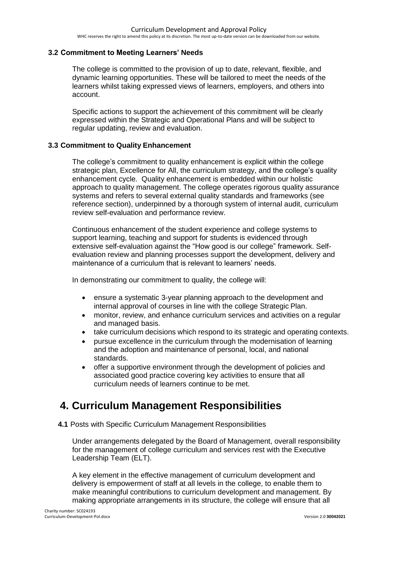#### <span id="page-3-0"></span>**3.2 Commitment to Meeting Learners' Needs**

The college is committed to the provision of up to date, relevant, flexible, and dynamic learning opportunities. These will be tailored to meet the needs of the learners whilst taking expressed views of learners, employers, and others into account.

Specific actions to support the achievement of this commitment will be clearly expressed within the Strategic and Operational Plans and will be subject to regular updating, review and evaluation.

#### <span id="page-3-1"></span>**3.3 Commitment to Quality Enhancement**

The college's commitment to quality enhancement is explicit within the college strategic plan, Excellence for All, the curriculum strategy, and the college's quality enhancement cycle. Quality enhancement is embedded within our holistic approach to quality management. The college operates rigorous quality assurance systems and refers to several external quality standards and frameworks (see reference section), underpinned by a thorough system of internal audit, curriculum review self-evaluation and performance review.

Continuous enhancement of the student experience and college systems to support learning, teaching and support for students is evidenced through extensive self-evaluation against the "How good is our college" framework. Selfevaluation review and planning processes support the development, delivery and maintenance of a curriculum that is relevant to learners' needs.

In demonstrating our commitment to quality, the college will:

- ensure a systematic 3-year planning approach to the development and internal approval of courses in line with the college Strategic Plan.
- monitor, review, and enhance curriculum services and activities on a regular and managed basis.
- take curriculum decisions which respond to its strategic and operating contexts.
- pursue excellence in the curriculum through the modernisation of learning and the adoption and maintenance of personal, local, and national standards.
- offer a supportive environment through the development of policies and associated good practice covering key activities to ensure that all curriculum needs of learners continue to be met.

## <span id="page-3-2"></span>**4. Curriculum Management Responsibilities**

**4.1** Posts with Specific Curriculum Management Responsibilities

Under arrangements delegated by the Board of Management, overall responsibility for the management of college curriculum and services rest with the Executive Leadership Team (ELT).

A key element in the effective management of curriculum development and delivery is empowerment of staff at all levels in the college, to enable them to make meaningful contributions to curriculum development and management. By making appropriate arrangements in its structure, the college will ensure that all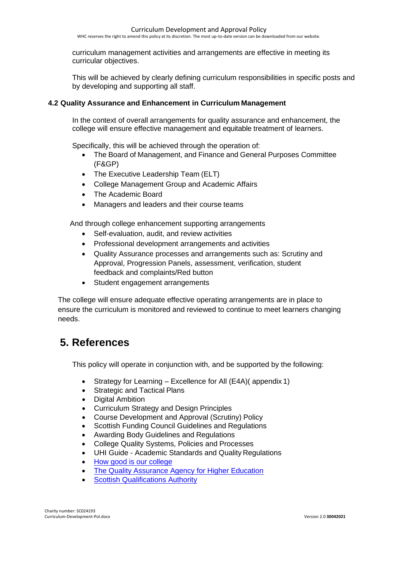curriculum management activities and arrangements are effective in meeting its curricular objectives.

This will be achieved by clearly defining curriculum responsibilities in specific posts and by developing and supporting all staff.

#### <span id="page-4-0"></span>**4.2 Quality Assurance and Enhancement in Curriculum Management**

In the context of overall arrangements for quality assurance and enhancement, the college will ensure effective management and equitable treatment of learners.

Specifically, this will be achieved through the operation of:

- The Board of Management, and Finance and General Purposes Committee (F&GP)
- The Executive Leadership Team (ELT)
- College Management Group and Academic Affairs
- The Academic Board
- Managers and leaders and their course teams

And through college enhancement supporting arrangements

- Self-evaluation, audit, and review activities
- Professional development arrangements and activities
- Quality Assurance processes and arrangements such as: Scrutiny and Approval, Progression Panels, assessment, verification, student feedback and complaints/Red button
- Student engagement arrangements

The college will ensure adequate effective operating arrangements are in place to ensure the curriculum is monitored and reviewed to continue to meet learners changing needs.

### <span id="page-4-1"></span>**5. References**

This policy will operate in conjunction with, and be supported by the following:

- Strategy for Learning Excellence for All (E4A) (appendix 1)
- Strategic and Tactical Plans
- Digital Ambition
- Curriculum Strategy and Design Principles
- Course Development and Approval (Scrutiny) Policy
- Scottish Funding Council Guidelines and Regulations
- Awarding Body Guidelines and Regulations
- College Quality Systems, Policies and Processes
- UHI Guide Academic Standards and Quality Regulations
- [How good is our college](https://education.gov.scot/improvement/self-evaluation/how-good-is-our-college)
- [The Quality Assurance Agency for Higher Education](https://www.qaa.ac.uk/)
- **[Scottish Qualifications Authority](https://www.sqa.org.uk/sqa/70972.html)**